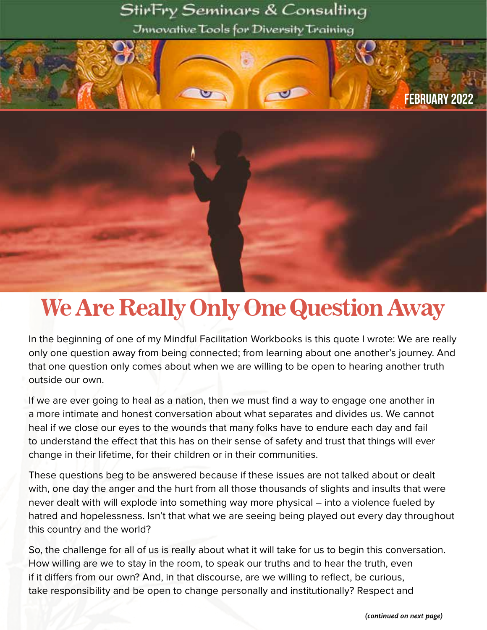### StirFry Seminars & Consulting

Jnnovative Tools for Diversity Training



# We Are Really Only One Question Away

In the beginning of one of my Mindful Facilitation Workbooks is this quote I wrote: We are really only one question away from being connected; from learning about one another's journey. And that one question only comes about when we are willing to be open to hearing another truth outside our own.

If we are ever going to heal as a nation, then we must find a way to engage one another in a more intimate and honest conversation about what separates and divides us. We cannot heal if we close our eyes to the wounds that many folks have to endure each day and fail to understand the effect that this has on their sense of safety and trust that things will ever change in their lifetime, for their children or in their communities.

These questions beg to be answered because if these issues are not talked about or dealt with, one day the anger and the hurt from all those thousands of slights and insults that were never dealt with will explode into something way more physical – into a violence fueled by hatred and hopelessness. Isn't that what we are seeing being played out every day throughout this country and the world?

So, the challenge for all of us is really about what it will take for us to begin this conversation. How willing are we to stay in the room, to speak our truths and to hear the truth, even if it differs from our own? And, in that discourse, are we willing to reflect, be curious, take responsibility and be open to change personally and institutionally? Respect and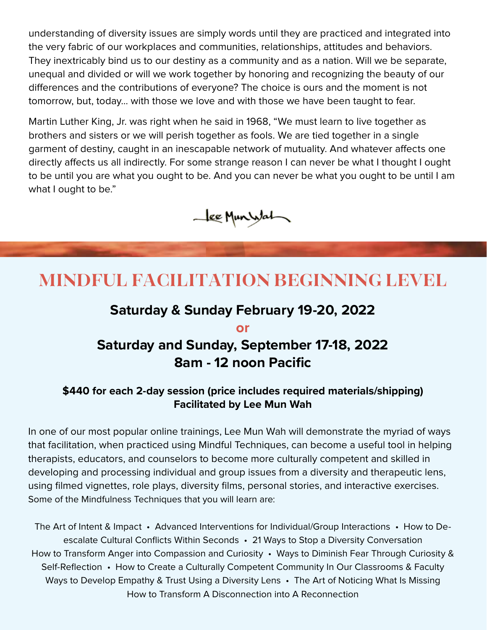understanding of diversity issues are simply words until they are practiced and integrated into the very fabric of our workplaces and communities, relationships, attitudes and behaviors. They inextricably bind us to our destiny as a community and as a nation. Will we be separate, unequal and divided or will we work together by honoring and recognizing the beauty of our differences and the contributions of everyone? The choice is ours and the moment is not tomorrow, but, today... with those we love and with those we have been taught to fear.

Martin Luther King, Jr. was right when he said in 1968, "We must learn to live together as brothers and sisters or we will perish together as fools. We are tied together in a single garment of destiny, caught in an inescapable network of mutuality. And whatever affects one directly affects us all indirectly. For some strange reason I can never be what I thought I ought to be until you are what you ought to be. And you can never be what you ought to be until I am what I ought to be."



## **MINDFUL FACILITATION BEGINNING LEVEL**

#### **Saturday & Sunday February 19-20, 2022**

**or**

#### **Saturday and Sunday, September 17-18, 2022 8am - 12 noon Pacific**

#### **\$440 for each 2-day session (price includes required materials/shipping) Facilitated by Lee Mun Wah**

In one of our most popular online trainings, Lee Mun Wah will demonstrate the myriad of ways that facilitation, when practiced using Mindful Techniques, can become a useful tool in helping therapists, educators, and counselors to become more culturally competent and skilled in developing and processing individual and group issues from a diversity and therapeutic lens, using filmed vignettes, role plays, diversity films, personal stories, and interactive exercises. Some of the Mindfulness Techniques that you will learn are:

The Art of Intent & Impact • Advanced Interventions for Individual/Group Interactions • How to Deescalate Cultural Conflicts Within Seconds • 21 Ways to Stop a Diversity Conversation How to Transform Anger into Compassion and Curiosity • Ways to Diminish Fear Through Curiosity & Self-Reflection • How to Create a Culturally Competent Community In Our Classrooms & Faculty Ways to Develop Empathy & Trust Using a Diversity Lens • The Art of Noticing What Is Missing How to Transform A Disconnection into A Reconnection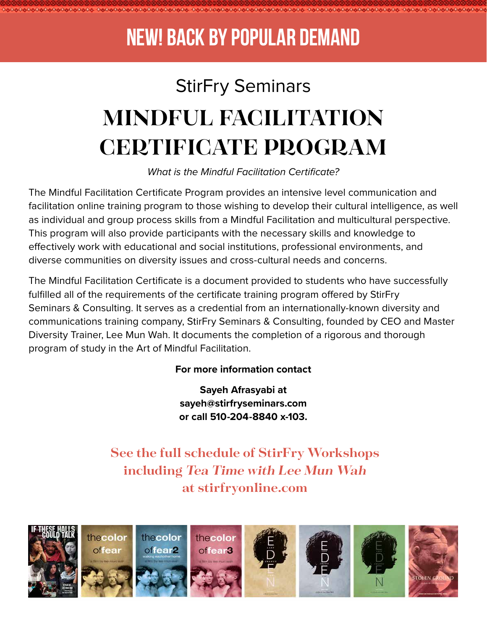## **NEW! BACK BY POPULAR DEMAND**

80808 080808080808080808080808

# StirFry Seminars **MINDFUL FACILITATION CERTIFICATE PROGRAM**

*What is the Mindful Facilitation Certificate?*

The Mindful Facilitation Certificate Program provides an intensive level communication and facilitation online training program to those wishing to develop their cultural intelligence, as well as individual and group process skills from a Mindful Facilitation and multicultural perspective. This program will also provide participants with the necessary skills and knowledge to effectively work with educational and social institutions, professional environments, and diverse communities on diversity issues and cross-cultural needs and concerns.

The Mindful Facilitation Certificate is a document provided to students who have successfully fulfilled all of the requirements of the certificate training program offered by StirFry Seminars & Consulting. It serves as a credential from an internationally-known diversity and communications training company, StirFry Seminars & Consulting, founded by CEO and Master Diversity Trainer, Lee Mun Wah. It documents the completion of a rigorous and thorough program of study in the Art of Mindful Facilitation.

#### **For more information contact**

**Sayeh Afrasyabi at sayeh@stirfryseminars.com or call 510-204-8840 x-103.**

**See the full schedule of StirFry Workshops including Tea Time with Lee Mun Wah at stirfryonline.com**